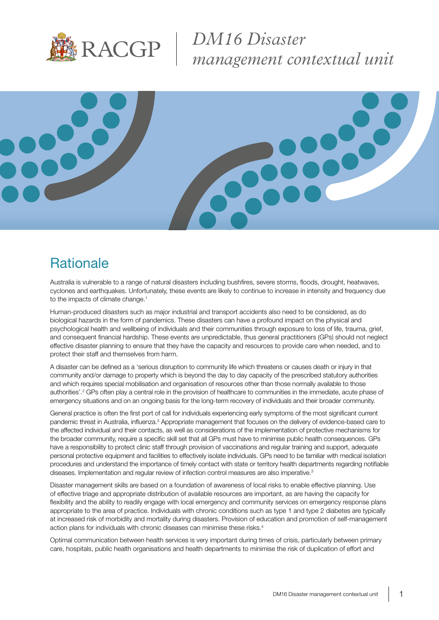

*DM16 Disaster management contextual unit*



#### **Rationale**

Australia is vulnerable to a range of natural disasters including bushfires, severe storms, floods, drought, heatwaves, cyclones and earthquakes. Unfortunately, these events are likely to continue to increase in intensity and frequency due to the impacts of climate change.<sup>1</sup>

Human-produced disasters such as major industrial and transport accidents also need to be considered, as do biological hazards in the form of pandemics. These disasters can have a profound impact on the physical and psychological health and wellbeing of individuals and their communities through exposure to loss of life, trauma, grief, and consequent financial hardship. These events are unpredictable, thus general practitioners (GPs) should not neglect effective disaster planning to ensure that they have the capacity and resources to provide care when needed, and to protect their staff and themselves from harm.

A disaster can be defined as a 'serious disruption to community life which threatens or causes death or injury in that community and/or damage to property which is beyond the day to day capacity of the prescribed statutory authorities and which requires special mobilisation and organisation of resources other than those normally available to those authorities'.<sup>2</sup> GPs often play a central role in the provision of healthcare to communities in the immediate, acute phase of emergency situations and on an ongoing basis for the long-term recovery of individuals and their broader community.

General practice is often the first port of call for individuals experiencing early symptoms of the most significant current pandemic threat in Australia, influenza.<sup>3</sup> Appropriate management that focuses on the delivery of evidence-based care to the affected individual and their contacts, as well as considerations of the implementation of protective mechanisms for the broader community, require a specific skill set that all GPs must have to minimise public health consequences. GPs have a responsibility to protect clinic staff through provision of vaccinations and regular training and support, adequate personal protective equipment and facilities to effectively isolate individuals. GPs need to be familiar with medical isolation procedures and understand the importance of timely contact with state or territory health departments regarding notifiable diseases. Implementation and regular review of infection control measures are also imperative.<sup>3</sup>

Disaster management skills are based on a foundation of awareness of local risks to enable effective planning. Use of effective triage and appropriate distribution of available resources are important, as are having the capacity for flexibility and the ability to readily engage with local emergency and community services on emergency response plans appropriate to the area of practice. Individuals with chronic conditions such as type 1 and type 2 diabetes are typically at increased risk of morbidity and mortality during disasters. Provision of education and promotion of self-management action plans for individuals with chronic diseases can minimise these risks.<sup>4</sup>

Optimal communication between health services is very important during times of crisis, particularly between primary care, hospitals, public health organisations and health departments to minimise the risk of duplication of effort and